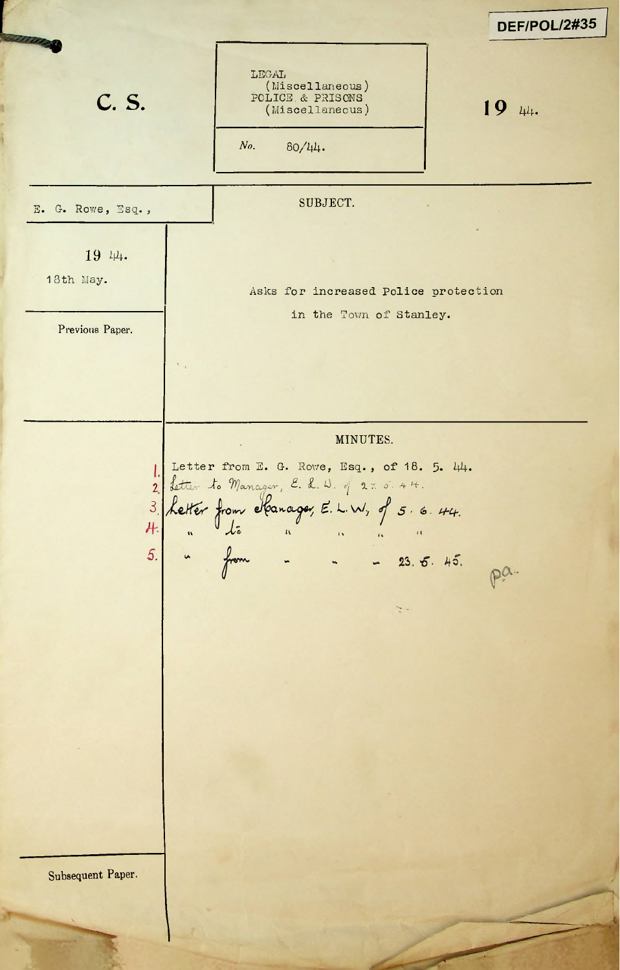DEF/POL/2#35 LEGAL (Miscellaneous)  $\textbf{C. S.}$  **POLICE & PRISONS** (Miscellaneous) **19** 44. POLICE.& PRISONS (Miscellaneous) *No.* 80/44- SUBJECT.  $E$ . G. Rowe, Esq., 19 44. 18th May. Asks for increased Police protection in the Town of Stanley. Previous Paper. MINUTES. Letter from E. G. Rowe, Esq., of 18. 5. 44. I. 2 **\_/o** *<sup>c</sup>'j 7.7. o'. . 7 7.* 3. *5 - <s>*Н.  $\sqrt{2}$ 5. **a** from - - - 23.  $P^{\alpha}$ .  $\frac{1}{2}$ Subsequent Paper.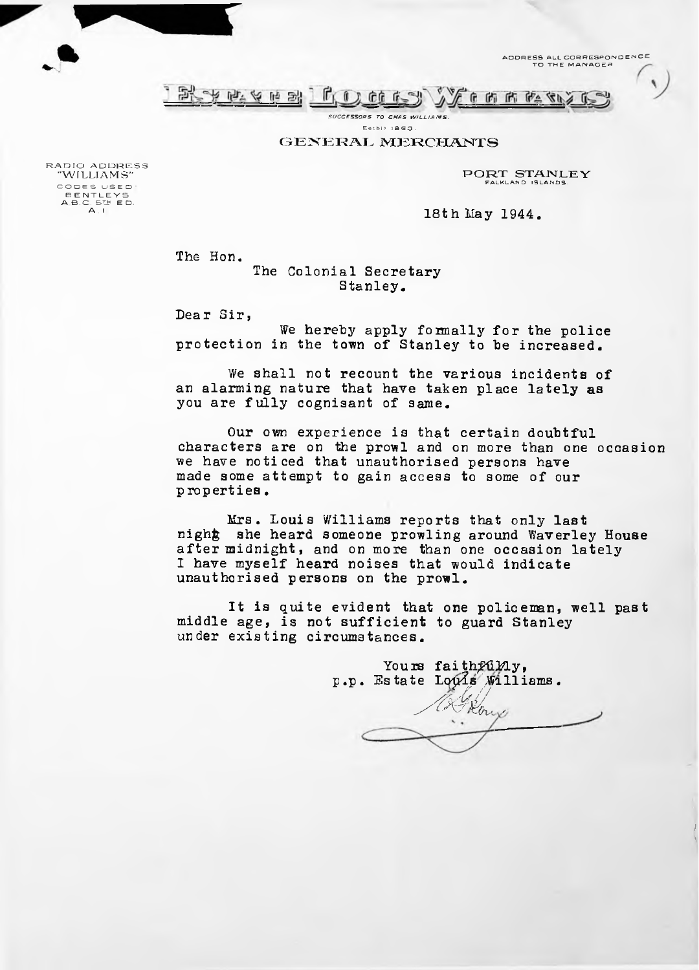ADDRESS ALL CORRESPONDENCE TO THE MANAGER

 $\pmb{\ell}$ 



*SUCCESSORS TO CHAS WILLIAMS.* Estbl) 1863.

GENERAL MERCHANTS

PORT STANLEY FALKLAND ISLANDS.

18th May 1944.

The Hon.

The Colonial Secretary Stanley.

Dear Sir,

We hereby apply formally for the police protection in the town of Stanley to be increased.

We shall not recount the various incidents of an alarming nature that have taken place lately as you are fully cognisant of same.

Our own experience is that certain doubtful characters are on the prowl and on more than one occasion we have noticed that unauthorised persons have made some attempt to gain access to some of our properties.

Mrs. Louis Williams reports that only last night she heard someone prowling around Waverley House after midnight, and on more than one occasion lately I have myself heard noises that would indicate unauthorised persons on the prowl.

It is quite evident that one policeman, well past middle age, is not sufficient to guard Stanley under existing circumstances.

Yours faithfully, p.p. Estate Louis Williams. **/AM.**

*I \*

RADIO ADDRESS "WILLIAMS" CODES USED:<br>BENTLEYS<br>A B.C. 5<sup>1</sup>? E D.<br>A . I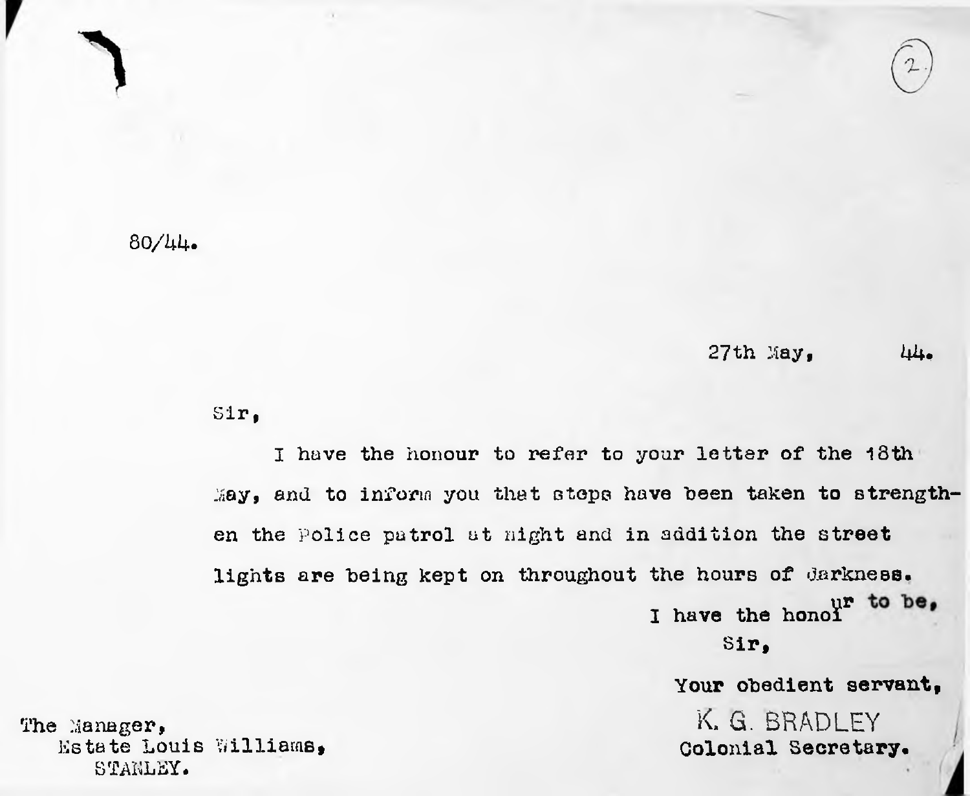## $80/44$

## $27th$  May,  $44.$

Sir,

I have the honour to refer to your letter of the 18th May, and to inform you that steps have been taken to strengthen the Police patrol at night and in addition the **street** lights are being kept on throughout the hours of **darkness.** I have the hono<sup>1</sup> to be, **Sir,**

## **Your obedient servant,**

K. G. BRADLEY **Colonial Secretary.**

The Manager, Estate Louis Williams^ STANLEY.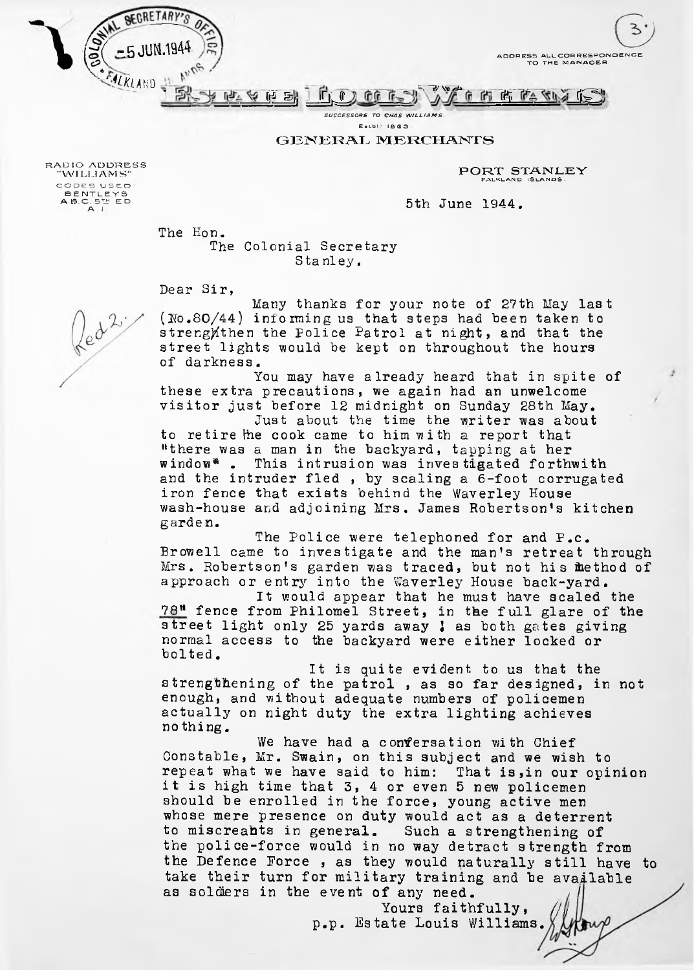ADDRESS ALL CORRESPONDENCE TO THE MANAGER



Estbl<sup>'</sup> 1863

GENERAL MERCHANTS

PORT STANLEY FALKLAND ISLANDS.

5th June 1944.

The Hon.

5 JUN.19

**SECRETARY** 

RADIO ADDRESS "WILLIAMS" COOES US E O : B E NTLEYS<br>A B.C. 5TH E D.<br>A . I

> The Colonial Secretary Sta nley.

Dear Sir,

Many thanks for your note of 27th May last  $(0.80/44)$  informing us that steps had been taken to streng) then the Police Patrol at night, and that the street lights would be kept on throughout the hours of darkness.

You may have already heard that in spite of these extra precautions, we again had an unwelcome visitor just before 12 midnight on Sunday 28th May.

Just about the time the writer was about to retire the cook came to him with a report that "there was a man in the backyard, tapping at her window\* . This intrusion was investigated forthwith and the intruder fled , by scaling a 6-foot corrugated iron fence that exists behind the Waverley House wash-house and adjoining Mrs. James Robertson'<sup>s</sup> kitchen garden.

The Police were telephoned for and P.c. Browell came to investigate and the man's retreat through Mrs. Robertson'<sup>s</sup> garden was traced, but not his Method of approach or entry into the Waverley House back-yard.

It would appear that he must have scaled the  $78<sup>tt</sup>$  fence from Philomel Street, in the full glare of the street light only 25 yards away ; as both gates giving normal access to the backyard were either locked or bolted.

It is quite evident to us that the strengthening of the patrol , as so far designed, in not enough, and without adequate numbers of policemen actually on night duty the extra lighting achieves no thing.

We have had a confersation with Chief Constable, Mr. Swain, on this subject and we wish to repeat what we have said to him: That is,in our opinion it is high time that 3, 4 or even 5 new policemen should be enrolled in the force, young active men whose mere presence on duty would act as a deterrent to miscreahts in general. Such a strengthening of the police-force would in no way detract strength from the Defence Force , as they would naturally still have to take their turn for military training and be available as solders in the event of any need.

> Yours faithfully, p.p. Estate Louis Williams.